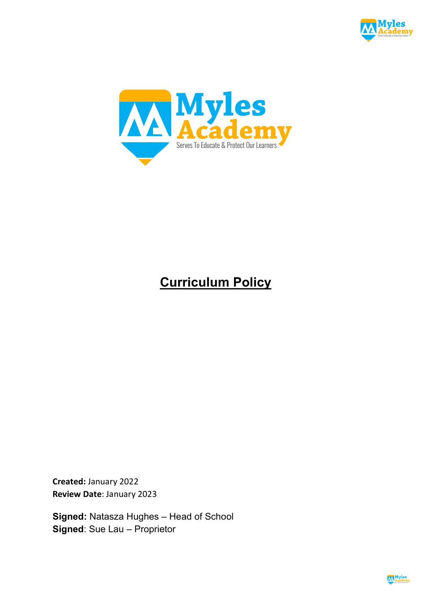



# **Curriculum Policy**

**Created:** January 2022 **Review Date**: January 2023

**Signed:** Natasza Hughes – Head of School **Signed**: Sue Lau – Proprietor

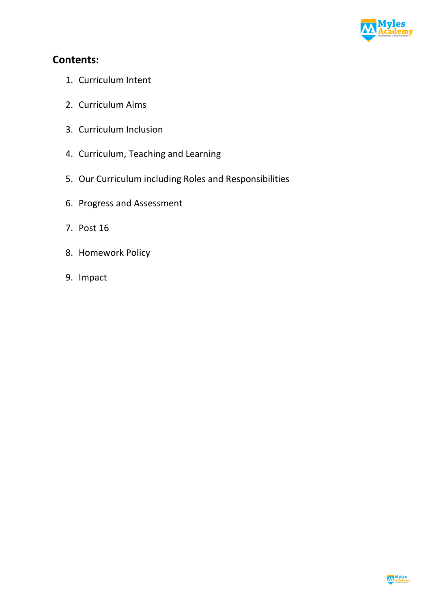

# **Contents:**

- 1. Curriculum Intent
- 2. Curriculum Aims
- 3. Curriculum Inclusion
- 4. Curriculum, Teaching and Learning
- 5. Our Curriculum including Roles and Responsibilities
- 6. Progress and Assessment
- 7. Post 16
- 8. Homework Policy
- 9. Impact

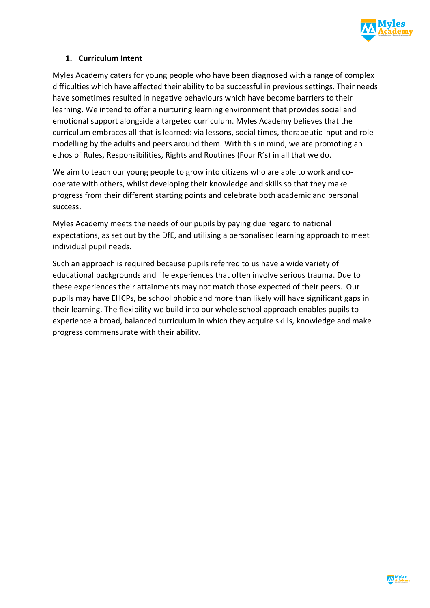

# **1. Curriculum Intent**

Myles Academy caters for young people who have been diagnosed with a range of complex difficulties which have affected their ability to be successful in previous settings. Their needs have sometimes resulted in negative behaviours which have become barriers to their learning. We intend to offer a nurturing learning environment that provides social and emotional support alongside a targeted curriculum. Myles Academy believes that the curriculum embraces all that is learned: via lessons, social times, therapeutic input and role modelling by the adults and peers around them. With this in mind, we are promoting an ethos of Rules, Responsibilities, Rights and Routines (Four R's) in all that we do.

We aim to teach our young people to grow into citizens who are able to work and cooperate with others, whilst developing their knowledge and skills so that they make progress from their different starting points and celebrate both academic and personal success.

Myles Academy meets the needs of our pupils by paying due regard to national expectations, as set out by the DfE, and utilising a personalised learning approach to meet individual pupil needs.

Such an approach is required because pupils referred to us have a wide variety of educational backgrounds and life experiences that often involve serious trauma. Due to these experiences their attainments may not match those expected of their peers. Our pupils may have EHCPs, be school phobic and more than likely will have significant gaps in their learning. The flexibility we build into our whole school approach enables pupils to experience a broad, balanced curriculum in which they acquire skills, knowledge and make progress commensurate with their ability.

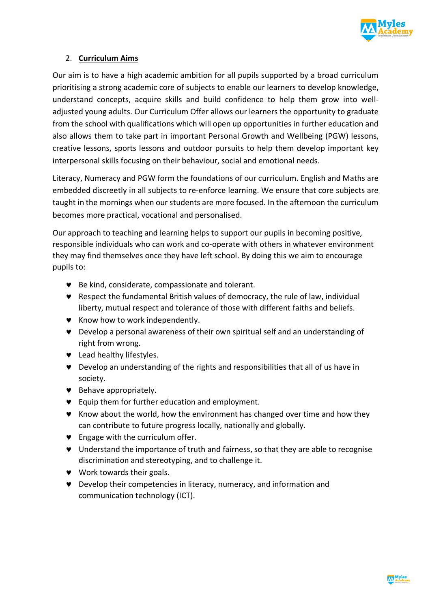

# 2. **Curriculum Aims**

Our aim is to have a high academic ambition for all pupils supported by a broad curriculum prioritising a strong academic core of subjects to enable our learners to develop knowledge, understand concepts, acquire skills and build confidence to help them grow into welladjusted young adults. Our Curriculum Offer allows our learners the opportunity to graduate from the school with qualifications which will open up opportunities in further education and also allows them to take part in important Personal Growth and Wellbeing (PGW) lessons, creative lessons, sports lessons and outdoor pursuits to help them develop important key interpersonal skills focusing on their behaviour, social and emotional needs.

Literacy, Numeracy and PGW form the foundations of our curriculum. English and Maths are embedded discreetly in all subjects to re-enforce learning. We ensure that core subjects are taught in the mornings when our students are more focused. In the afternoon the curriculum becomes more practical, vocational and personalised.

Our approach to teaching and learning helps to support our pupils in becoming positive, responsible individuals who can work and co-operate with others in whatever environment they may find themselves once they have left school. By doing this we aim to encourage pupils to:

- © Be kind, considerate, compassionate and tolerant.
- © Respect the fundamental British values of democracy, the rule of law, individual liberty, mutual respect and tolerance of those with different faiths and beliefs.
- © Know how to work independently.
- © Develop a personal awareness of their own spiritual self and an understanding of right from wrong.
- Lead healthy lifestyles.
- © Develop an understanding of the rights and responsibilities that all of us have in society.
- © Behave appropriately.
- © Equip them for further education and employment.
- © Know about the world, how the environment has changed over time and how they can contribute to future progress locally, nationally and globally.
- $\bullet$  Engage with the curriculum offer.
- © Understand the importance of truth and fairness, so that they are able to recognise discrimination and stereotyping, and to challenge it.
- $\bullet$  Work towards their goals.
- © Develop their competencies in literacy, numeracy, and information and communication technology (ICT).

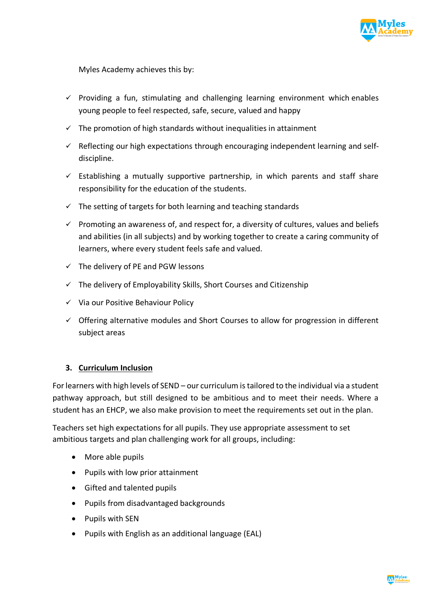

Myles Academy achieves this by:

- $\checkmark$  Providing a fun, stimulating and challenging learning environment which enables young people to feel respected, safe, secure, valued and happy
- $\checkmark$  The promotion of high standards without inequalities in attainment
- $\checkmark$  Reflecting our high expectations through encouraging independent learning and selfdiscipline.
- $\checkmark$  Establishing a mutually supportive partnership, in which parents and staff share responsibility for the education of the students.
- $\checkmark$  The setting of targets for both learning and teaching standards
- $\checkmark$  Promoting an awareness of, and respect for, a diversity of cultures, values and beliefs and abilities (in all subjects) and by working together to create a caring community of learners, where every student feels safe and valued.
- $\checkmark$  The delivery of PE and PGW lessons
- $\checkmark$  The delivery of Employability Skills, Short Courses and Citizenship
- $\checkmark$  Via our Positive Behaviour Policy
- $\checkmark$  Offering alternative modules and Short Courses to allow for progression in different subject areas

# **3. Curriculum Inclusion**

For learners with high levels of SEND – our curriculum is tailored to the individual via a student pathway approach, but still designed to be ambitious and to meet their needs. Where a student has an EHCP, we also make provision to meet the requirements set out in the plan.

Teachers set high expectations for all pupils. They use appropriate assessment to set ambitious targets and plan challenging work for all groups, including:

- More able pupils
- Pupils with low prior attainment
- Gifted and talented pupils
- Pupils from disadvantaged backgrounds
- Pupils with SEN
- Pupils with English as an additional language (EAL)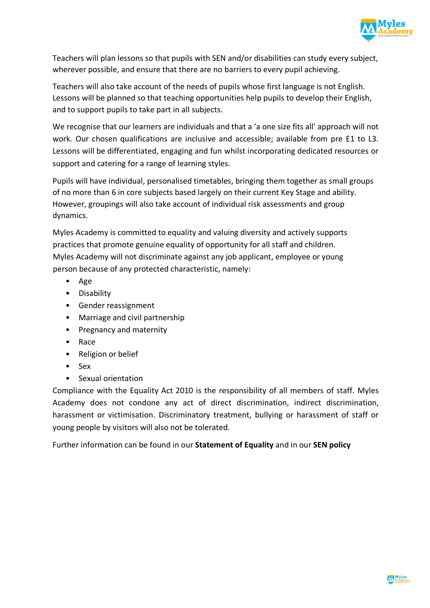

Teachers will plan lessons so that pupils with SEN and/or disabilities can study every subject, wherever possible, and ensure that there are no barriers to every pupil achieving.

Teachers will also take account of the needs of pupils whose first language is not English. Lessons will be planned so that teaching opportunities help pupils to develop their English, and to support pupils to take part in all subjects.

We recognise that our learners are individuals and that a 'a one size fits all' approach will not work. Our chosen qualifications are inclusive and accessible; available from pre E1 to L3. Lessons will be differentiated, engaging and fun whilst incorporating dedicated resources or support and catering for a range of learning styles.

Pupils will have individual, personalised timetables, bringing them together as small groups of no more than 6 in core subjects based largely on their current Key Stage and ability. However, groupings will also take account of individual risk assessments and group dynamics.

Myles Academy is committed to equality and valuing diversity and actively supports practices that promote genuine equality of opportunity for all staff and children. Myles Academy will not discriminate against any job applicant, employee or young person because of any protected characteristic, namely:

- Age
- Disability
- Gender reassignment
- Marriage and civil partnership
- Pregnancy and maternity
- Race
- Religion or belief
- Sex
- Sexual orientation

Compliance with the Equality Act 2010 is the responsibility of all members of staff. Myles Academy does not condone any act of direct discrimination, indirect discrimination, harassment or victimisation. Discriminatory treatment, bullying or harassment of staff or young people by visitors will also not be tolerated.

Further information can be found in our **Statement of Equality** and in our **SEN policy**

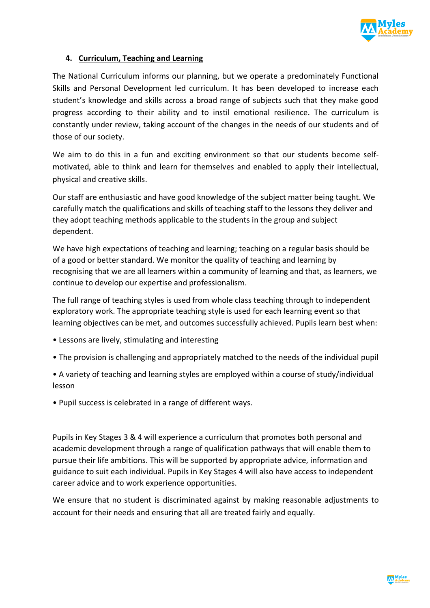

# **4. Curriculum, Teaching and Learning**

The National Curriculum informs our planning, but we operate a predominately Functional Skills and Personal Development led curriculum. It has been developed to increase each student's knowledge and skills across a broad range of subjects such that they make good progress according to their ability and to instil emotional resilience. The curriculum is constantly under review, taking account of the changes in the needs of our students and of those of our society.

We aim to do this in a fun and exciting environment so that our students become selfmotivated, able to think and learn for themselves and enabled to apply their intellectual, physical and creative skills.

Our staff are enthusiastic and have good knowledge of the subject matter being taught. We carefully match the qualifications and skills of teaching staff to the lessons they deliver and they adopt teaching methods applicable to the students in the group and subject dependent.

We have high expectations of teaching and learning; teaching on a regular basis should be of a good or better standard. We monitor the quality of teaching and learning by recognising that we are all learners within a community of learning and that, as learners, we continue to develop our expertise and professionalism.

The full range of teaching styles is used from whole class teaching through to independent exploratory work. The appropriate teaching style is used for each learning event so that learning objectives can be met, and outcomes successfully achieved. Pupils learn best when:

- Lessons are lively, stimulating and interesting
- The provision is challenging and appropriately matched to the needs of the individual pupil

• A variety of teaching and learning styles are employed within a course of study/individual lesson

• Pupil success is celebrated in a range of different ways.

Pupils in Key Stages 3 & 4 will experience a curriculum that promotes both personal and academic development through a range of qualification pathways that will enable them to pursue their life ambitions. This will be supported by appropriate advice, information and guidance to suit each individual. Pupils in Key Stages 4 will also have access to independent career advice and to work experience opportunities.

We ensure that no student is discriminated against by making reasonable adjustments to account for their needs and ensuring that all are treated fairly and equally.

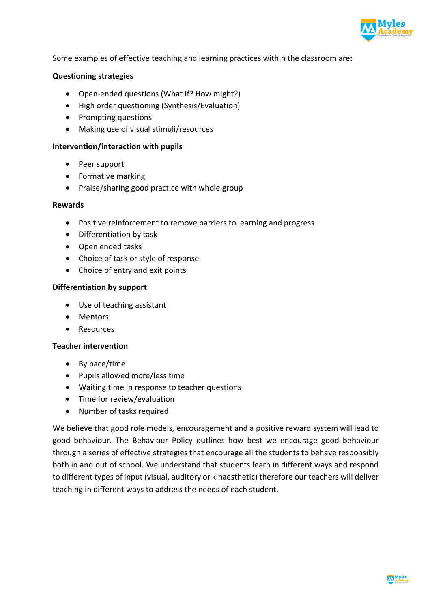

Some examples of effective teaching and learning practices within the classroom are**:**

#### **Questioning strategies**

- Open-ended questions (What if? How might?)
- High order questioning (Synthesis/Evaluation)
- Prompting questions
- Making use of visual stimuli/resources

#### **Intervention/interaction with pupils**

- Peer support
- Formative marking
- Praise/sharing good practice with whole group

#### **Rewards**

- Positive reinforcement to remove barriers to learning and progress
- Differentiation by task
- Open ended tasks
- Choice of task or style of response
- Choice of entry and exit points

#### **Differentiation by support**

- Use of teaching assistant
- Mentors
- Resources

#### **Teacher intervention**

- By pace/time
- Pupils allowed more/less time
- Waiting time in response to teacher questions
- Time for review/evaluation
- Number of tasks required

We believe that good role models, encouragement and a positive reward system will lead to good behaviour. The Behaviour Policy outlines how best we encourage good behaviour through a series of effective strategies that encourage all the students to behave responsibly both in and out of school. We understand that students learn in different ways and respond to different types of input (visual, auditory or kinaesthetic) therefore our teachers will deliver teaching in different ways to address the needs of each student.

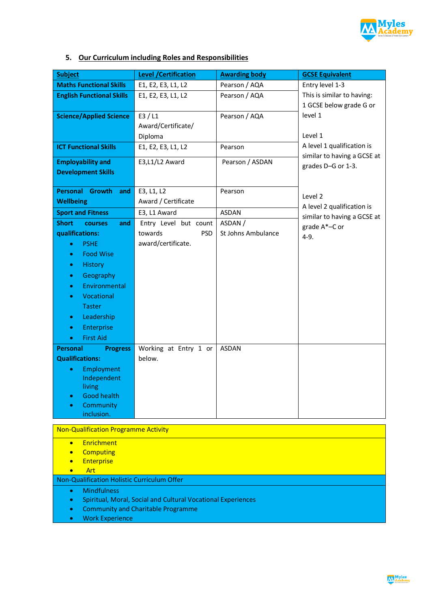

# **5. Our Curriculum including Roles and Responsibilities**

| <b>Subject</b>                              | <b>Level / Certification</b> | <b>Awarding body</b> | <b>GCSE Equivalent</b>                |  |  |
|---------------------------------------------|------------------------------|----------------------|---------------------------------------|--|--|
| <b>Maths Functional Skills</b>              | E1, E2, E3, L1, L2           | Pearson / AQA        | Entry level 1-3                       |  |  |
| <b>English Functional Skills</b>            | E1, E2, E3, L1, L2           | Pearson / AQA        | This is similar to having:            |  |  |
|                                             |                              |                      | 1 GCSE below grade G or               |  |  |
| <b>Science/Applied Science</b>              | E3/L1                        | Pearson / AQA        | level 1                               |  |  |
|                                             | Award/Certificate/           |                      |                                       |  |  |
|                                             | Diploma                      |                      | Level 1                               |  |  |
| <b>ICT Functional Skills</b>                | E1, E2, E3, L1, L2           | Pearson              | A level 1 qualification is            |  |  |
| <b>Employability and</b>                    | E3,L1/L2 Award               | Pearson / ASDAN      | similar to having a GCSE at           |  |  |
| <b>Development Skills</b>                   |                              |                      | grades D-G or 1-3.                    |  |  |
|                                             |                              |                      |                                       |  |  |
| Personal Growth<br>and                      | E3, L1, L2                   | Pearson              |                                       |  |  |
| <b>Wellbeing</b>                            | Award / Certificate          |                      | Level 2<br>A level 2 qualification is |  |  |
| <b>Sport and Fitness</b>                    | E3, L1 Award                 | <b>ASDAN</b>         | similar to having a GCSE at           |  |  |
| <b>Short</b><br><b>courses</b><br>and       | Entry Level but count        | ASDAN /              | grade A*-C or                         |  |  |
| qualifications:                             | towards<br><b>PSD</b>        | St Johns Ambulance   | $4-9.$                                |  |  |
| <b>PSHE</b><br>$\bullet$                    | award/certificate.           |                      |                                       |  |  |
| <b>Food Wise</b><br>$\bullet$               |                              |                      |                                       |  |  |
| <b>History</b><br>$\bullet$                 |                              |                      |                                       |  |  |
| Geography<br>$\bullet$                      |                              |                      |                                       |  |  |
| Environmental<br>$\bullet$                  |                              |                      |                                       |  |  |
| Vocational                                  |                              |                      |                                       |  |  |
| <b>Taster</b>                               |                              |                      |                                       |  |  |
| Leadership<br>$\bullet$                     |                              |                      |                                       |  |  |
| Enterprise<br>$\bullet$                     |                              |                      |                                       |  |  |
| <b>First Aid</b><br>$\bullet$               |                              |                      |                                       |  |  |
| <b>Personal</b><br><b>Progress</b>          | Working at Entry 1 or        | <b>ASDAN</b>         |                                       |  |  |
| <b>Qualifications:</b>                      | below.                       |                      |                                       |  |  |
| Employment<br>Independent                   |                              |                      |                                       |  |  |
| living                                      |                              |                      |                                       |  |  |
| <b>Good health</b>                          |                              |                      |                                       |  |  |
| Community                                   |                              |                      |                                       |  |  |
| inclusion.                                  |                              |                      |                                       |  |  |
| <b>Non-Qualification Programme Activity</b> |                              |                      |                                       |  |  |
| Enrichment<br>$\bullet$                     |                              |                      |                                       |  |  |
| <b>Computing</b><br>$F$ ntornric            |                              |                      |                                       |  |  |

- Enterprise
- Art

Non-Qualification Holistic Curriculum Offer

- Mindfulness
- Spiritual, Moral, Social and Cultural Vocational Experiences
- Community and Charitable Programme
- Work Experience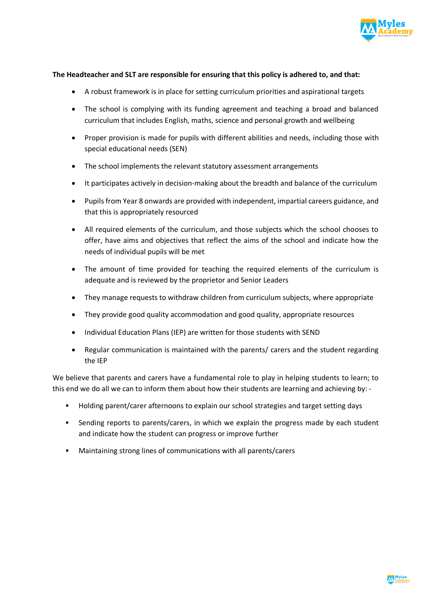

#### **The Headteacher and SLT are responsible for ensuring that this policy is adhered to, and that:**

- A robust framework is in place for setting curriculum priorities and aspirational targets
- The school is complying with its funding agreement and teaching a broad and balanced curriculum that includes English, maths, science and personal growth and wellbeing
- Proper provision is made for pupils with different abilities and needs, including those with special educational needs (SEN)
- The school implements the relevant statutory assessment arrangements
- It participates actively in decision-making about the breadth and balance of the curriculum
- Pupils from Year 8 onwards are provided with independent, impartial careers guidance, and that this is appropriately resourced
- All required elements of the curriculum, and those subjects which the school chooses to offer, have aims and objectives that reflect the aims of the school and indicate how the needs of individual pupils will be met
- The amount of time provided for teaching the required elements of the curriculum is adequate and is reviewed by the proprietor and Senior Leaders
- They manage requests to withdraw children from curriculum subjects, where appropriate
- They provide good quality accommodation and good quality, appropriate resources
- Individual Education Plans (IEP) are written for those students with SEND
- Regular communication is maintained with the parents/ carers and the student regarding the IEP

We believe that parents and carers have a fundamental role to play in helping students to learn; to this end we do all we can to inform them about how their students are learning and achieving by: -

- § Holding parent/carer afternoons to explain our school strategies and target setting days
- Sending reports to parents/carers, in which we explain the progress made by each student and indicate how the student can progress or improve further
- Maintaining strong lines of communications with all parents/carers

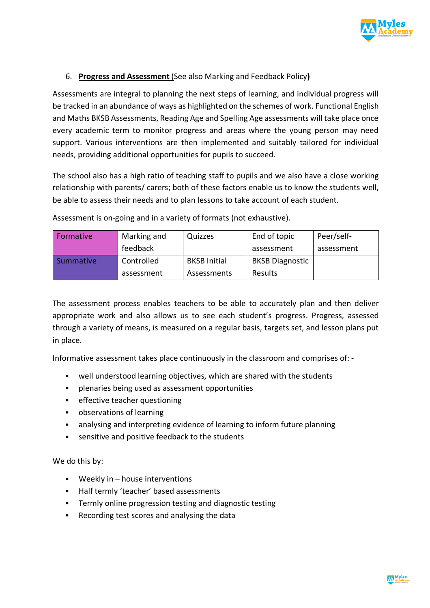

# 6. **Progress and Assessment** (See also Marking and Feedback Policy**)**

Assessments are integral to planning the next steps of learning, and individual progress will be tracked in an abundance of ways as highlighted on the schemes of work. Functional English and Maths BKSB Assessments, Reading Age and Spelling Age assessments will take place once every academic term to monitor progress and areas where the young person may need support. Various interventions are then implemented and suitably tailored for individual needs, providing additional opportunities for pupils to succeed.

The school also has a high ratio of teaching staff to pupils and we also have a close working relationship with parents/ carers; both of these factors enable us to know the students well, be able to assess their needs and to plan lessons to take account of each student.

| Formative | Marking and | Quizzes             | End of topic           | Peer/self- |
|-----------|-------------|---------------------|------------------------|------------|
|           | feedback    |                     | assessment             | assessment |
| Summative | Controlled  | <b>BKSB Initial</b> | <b>BKSB Diagnostic</b> |            |
|           | assessment  | Assessments         | <b>Results</b>         |            |

Assessment is on-going and in a variety of formats (not exhaustive).

The assessment process enables teachers to be able to accurately plan and then deliver appropriate work and also allows us to see each student's progress. Progress, assessed through a variety of means, is measured on a regular basis, targets set, and lesson plans put in place.

Informative assessment takes place continuously in the classroom and comprises of: -

- well understood learning objectives, which are shared with the students
- § plenaries being used as assessment opportunities
- **•** effective teacher questioning
- § observations of learning
- analysing and interpreting evidence of learning to inform future planning
- sensitive and positive feedback to the students

We do this by:

- Weekly in house interventions
- Half termly 'teacher' based assessments
- § Termly online progression testing and diagnostic testing
- Recording test scores and analysing the data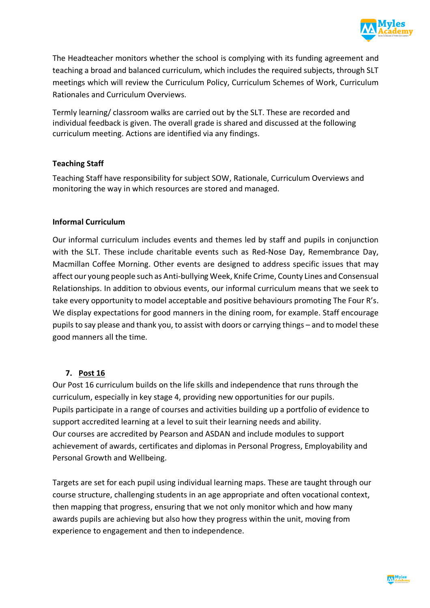

The Headteacher monitors whether the school is complying with its funding agreement and teaching a broad and balanced curriculum, which includes the required subjects, through SLT meetings which will review the Curriculum Policy, Curriculum Schemes of Work, Curriculum Rationales and Curriculum Overviews.

Termly learning/ classroom walks are carried out by the SLT. These are recorded and individual feedback is given. The overall grade is shared and discussed at the following curriculum meeting. Actions are identified via any findings.

# **Teaching Staff**

Teaching Staff have responsibility for subject SOW, Rationale, Curriculum Overviews and monitoring the way in which resources are stored and managed.

# **Informal Curriculum**

Our informal curriculum includes events and themes led by staff and pupils in conjunction with the SLT. These include charitable events such as Red-Nose Day, Remembrance Day, Macmillan Coffee Morning. Other events are designed to address specific issues that may affect our young people such as Anti-bullying Week, Knife Crime, County Lines and Consensual Relationships. In addition to obvious events, our informal curriculum means that we seek to take every opportunity to model acceptable and positive behaviours promoting The Four R's. We display expectations for good manners in the dining room, for example. Staff encourage pupils to say please and thank you, to assist with doors or carrying things – and to model these good manners all the time.

# **7. Post 16**

Our Post 16 curriculum builds on the life skills and independence that runs through the curriculum, especially in key stage 4, providing new opportunities for our pupils. Pupils participate in a range of courses and activities building up a portfolio of evidence to support accredited learning at a level to suit their learning needs and ability. Our courses are accredited by Pearson and ASDAN and include modules to support achievement of awards, certificates and diplomas in Personal Progress, Employability and Personal Growth and Wellbeing.

Targets are set for each pupil using individual learning maps. These are taught through our course structure, challenging students in an age appropriate and often vocational context, then mapping that progress, ensuring that we not only monitor which and how many awards pupils are achieving but also how they progress within the unit, moving from experience to engagement and then to independence.